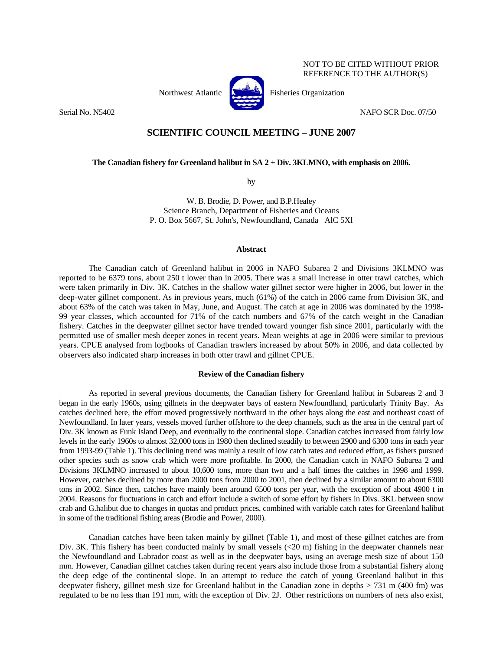

Northwest Atlantic **No. 1989** Fisheries Organization

Serial No. N5402 NAFO SCR Doc. 07/50

NOT TO BE CITED WITHOUT PRIOR REFERENCE TO THE AUTHOR(S)

# **SCIENTIFIC COUNCIL MEETING – JUNE 2007**

**The Canadian fishery for Greenland halibut in SA 2 + Div. 3KLMNO, with emphasis on 2006.** 

by

W. B. Brodie, D. Power, and B.P.Healey Science Branch, Department of Fisheries and Oceans P. O. Box 5667, St. John's, Newfoundland, Canada AlC 5Xl

#### **Abstract**

 The Canadian catch of Greenland halibut in 2006 in NAFO Subarea 2 and Divisions 3KLMNO was reported to be 6379 tons, about 250 t lower than in 2005. There was a small increase in otter trawl catches, which were taken primarily in Div. 3K. Catches in the shallow water gillnet sector were higher in 2006, but lower in the deep-water gillnet component. As in previous years, much (61%) of the catch in 2006 came from Division 3K, and about 63% of the catch was taken in May, June, and August. The catch at age in 2006 was dominated by the 1998- 99 year classes, which accounted for 71% of the catch numbers and 67% of the catch weight in the Canadian fishery. Catches in the deepwater gillnet sector have trended toward younger fish since 2001, particularly with the permitted use of smaller mesh deeper zones in recent years. Mean weights at age in 2006 were similar to previous years. CPUE analysed from logbooks of Canadian trawlers increased by about 50% in 2006, and data collected by observers also indicated sharp increases in both otter trawl and gillnet CPUE.

# **Review of the Canadian fishery**

 As reported in several previous documents, the Canadian fishery for Greenland halibut in Subareas 2 and 3 began in the early 1960s, using gillnets in the deepwater bays of eastern Newfoundland, particularly Trinity Bay. As catches declined here, the effort moved progressively northward in the other bays along the east and northeast coast of Newfoundland. In later years, vessels moved further offshore to the deep channels, such as the area in the central part of Div. 3K known as Funk Island Deep, and eventually to the continental slope. Canadian catches increased from fairly low levels in the early 1960s to almost 32,000 tons in 1980 then declined steadily to between 2900 and 6300 tons in each year from 1993-99 (Table 1). This declining trend was mainly a result of low catch rates and reduced effort, as fishers pursued other species such as snow crab which were more profitable. In 2000, the Canadian catch in NAFO Subarea 2 and Divisions 3KLMNO increased to about 10,600 tons, more than two and a half times the catches in 1998 and 1999. However, catches declined by more than 2000 tons from 2000 to 2001, then declined by a similar amount to about 6300 tons in 2002. Since then, catches have mainly been around 6500 tons per year, with the exception of about 4900 t in 2004. Reasons for fluctuations in catch and effort include a switch of some effort by fishers in Divs. 3KL between snow crab and G.halibut due to changes in quotas and product prices, combined with variable catch rates for Greenland halibut in some of the traditional fishing areas (Brodie and Power, 2000).

 Canadian catches have been taken mainly by gillnet (Table 1), and most of these gillnet catches are from Div. 3K. This fishery has been conducted mainly by small vessels  $( $20 \text{ m}$ )$  fishing in the deepwater channels near the Newfoundland and Labrador coast as well as in the deepwater bays, using an average mesh size of about 150 mm. However, Canadian gillnet catches taken during recent years also include those from a substantial fishery along the deep edge of the continental slope. In an attempt to reduce the catch of young Greenland halibut in this deepwater fishery, gillnet mesh size for Greenland halibut in the Canadian zone in depths > 731 m (400 fm) was regulated to be no less than 191 mm, with the exception of Div. 2J. Other restrictions on numbers of nets also exist,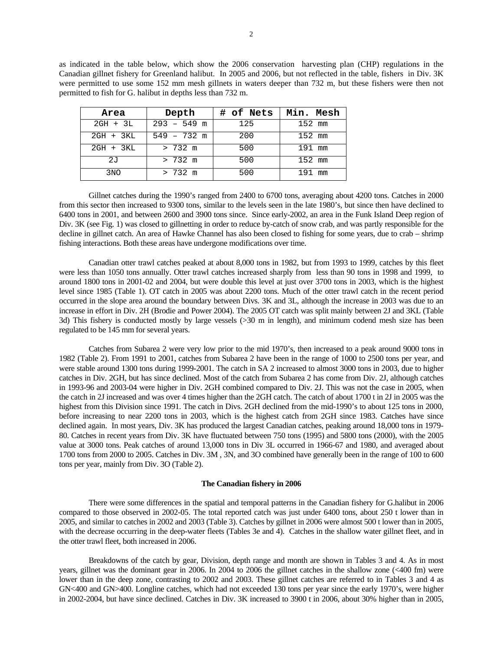as indicated in the table below, which show the 2006 conservation harvesting plan (CHP) regulations in the Canadian gillnet fishery for Greenland halibut. In 2005 and 2006, but not reflected in the table, fishers in Div. 3K were permitted to use some 152 mm mesh gillnets in waters deeper than 732 m, but these fishers were then not permitted to fish for G. halibut in depths less than 732 m.

| Area            | Depth             | # of Nets | Min. Mesh |
|-----------------|-------------------|-----------|-----------|
| $2GH + 3L$      | $293 - 549$ m     | 125       | 152 mm    |
| 2GH + 3KL       | $549 - 732$ m     | 200       | 152 mm    |
| 2GH + 3KL       | $> 732 \text{ m}$ | 500       | 191 mm    |
| 2J              | $> 732 \text{ m}$ | 500       | $152$ mm  |
| 3 <sub>NO</sub> | $> 732 \text{ m}$ | 500       | 191 mm    |

 Gillnet catches during the 1990's ranged from 2400 to 6700 tons, averaging about 4200 tons. Catches in 2000 from this sector then increased to 9300 tons, similar to the levels seen in the late 1980's, but since then have declined to 6400 tons in 2001, and between 2600 and 3900 tons since. Since early-2002, an area in the Funk Island Deep region of Div. 3K (see Fig. 1) was closed to gillnetting in order to reduce by-catch of snow crab, and was partly responsible for the decline in gillnet catch. An area of Hawke Channel has also been closed to fishing for some years, due to crab – shrimp fishing interactions. Both these areas have undergone modifications over time.

 Canadian otter trawl catches peaked at about 8,000 tons in 1982, but from 1993 to 1999, catches by this fleet were less than 1050 tons annually. Otter trawl catches increased sharply from less than 90 tons in 1998 and 1999, to around 1800 tons in 2001-02 and 2004, but were double this level at just over 3700 tons in 2003, which is the highest level since 1985 (Table 1). OT catch in 2005 was about 2200 tons. Much of the otter trawl catch in the recent period occurred in the slope area around the boundary between Divs. 3K and 3L, although the increase in 2003 was due to an increase in effort in Div. 2H (Brodie and Power 2004). The 2005 OT catch was split mainly between 2J and 3KL (Table 3d) This fishery is conducted mostly by large vessels (>30 m in length), and minimum codend mesh size has been regulated to be 145 mm for several years.

 Catches from Subarea 2 were very low prior to the mid 1970's, then increased to a peak around 9000 tons in 1982 (Table 2). From 1991 to 2001, catches from Subarea 2 have been in the range of 1000 to 2500 tons per year, and were stable around 1300 tons during 1999-2001. The catch in SA 2 increased to almost 3000 tons in 2003, due to higher catches in Div. 2GH, but has since declined. Most of the catch from Subarea 2 has come from Div. 2J, although catches in 1993-96 and 2003-04 were higher in Div. 2GH combined compared to Div. 2J. This was not the case in 2005, when the catch in 2J increased and was over 4 times higher than the 2GH catch. The catch of about 1700 t in 2J in 2005 was the highest from this Division since 1991. The catch in Divs. 2GH declined from the mid-1990's to about 125 tons in 2000, before increasing to near 2200 tons in 2003, which is the highest catch from 2GH since 1983. Catches have since declined again. In most years, Div. 3K has produced the largest Canadian catches, peaking around 18,000 tons in 1979-80. Catches in recent years from Div. 3K have fluctuated between 750 tons (1995) and 5800 tons (2000), with the 2005 value at 3000 tons. Peak catches of around 13,000 tons in Div 3L occurred in 1966-67 and 1980, and averaged about 1700 tons from 2000 to 2005. Catches in Div. 3M , 3N, and 3O combined have generally been in the range of 100 to 600 tons per year, mainly from Div. 3O (Table 2).

# **The Canadian fishery in 2006**

 There were some differences in the spatial and temporal patterns in the Canadian fishery for G.halibut in 2006 compared to those observed in 2002-05. The total reported catch was just under 6400 tons, about 250 t lower than in 2005, and similar to catches in 2002 and 2003 (Table 3). Catches by gillnet in 2006 were almost 500 t lower than in 2005, with the decrease occurring in the deep-water fleets (Tables 3e and 4). Catches in the shallow water gillnet fleet, and in the otter trawl fleet, both increased in 2006.

 Breakdowns of the catch by gear, Division, depth range and month are shown in Tables 3 and 4. As in most years, gillnet was the dominant gear in 2006. In 2004 to 2006 the gillnet catches in the shallow zone (<400 fm) were lower than in the deep zone, contrasting to 2002 and 2003. These gillnet catches are referred to in Tables 3 and 4 as GN<400 and GN>400. Longline catches, which had not exceeded 130 tons per year since the early 1970's, were higher in 2002-2004, but have since declined. Catches in Div. 3K increased to 3900 t in 2006, about 30% higher than in 2005,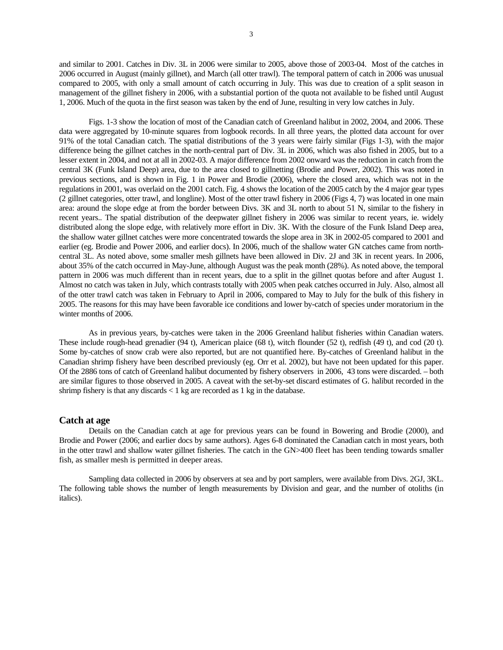and similar to 2001. Catches in Div. 3L in 2006 were similar to 2005, above those of 2003-04. Most of the catches in 2006 occurred in August (mainly gillnet), and March (all otter trawl). The temporal pattern of catch in 2006 was unusual compared to 2005, with only a small amount of catch occurring in July. This was due to creation of a split season in management of the gillnet fishery in 2006, with a substantial portion of the quota not available to be fished until August 1, 2006. Much of the quota in the first season was taken by the end of June, resulting in very low catches in July.

 Figs. 1-3 show the location of most of the Canadian catch of Greenland halibut in 2002, 2004, and 2006. These data were aggregated by 10-minute squares from logbook records. In all three years, the plotted data account for over 91% of the total Canadian catch. The spatial distributions of the 3 years were fairly similar (Figs 1-3), with the major difference being the gillnet catches in the north-central part of Div. 3L in 2006, which was also fished in 2005, but to a lesser extent in 2004, and not at all in 2002-03. A major difference from 2002 onward was the reduction in catch from the central 3K (Funk Island Deep) area, due to the area closed to gillnetting (Brodie and Power, 2002). This was noted in previous sections, and is shown in Fig. 1 in Power and Brodie (2006), where the closed area, which was not in the regulations in 2001, was overlaid on the 2001 catch. Fig. 4 shows the location of the 2005 catch by the 4 major gear types (2 gillnet categories, otter trawl, and longline). Most of the otter trawl fishery in 2006 (Figs 4, 7) was located in one main area: around the slope edge at from the border between Divs. 3K and 3L north to about 51 N, similar to the fishery in recent years.. The spatial distribution of the deepwater gillnet fishery in 2006 was similar to recent years, ie. widely distributed along the slope edge, with relatively more effort in Div. 3K. With the closure of the Funk Island Deep area, the shallow water gillnet catches were more concentrated towards the slope area in 3K in 2002-05 compared to 2001 and earlier (eg. Brodie and Power 2006, and earlier docs). In 2006, much of the shallow water GN catches came from northcentral 3L. As noted above, some smaller mesh gillnets have been allowed in Div. 2J and 3K in recent years. In 2006, about 35% of the catch occurred in May-June, although August was the peak month (28%). As noted above, the temporal pattern in 2006 was much different than in recent years, due to a split in the gillnet quotas before and after August 1. Almost no catch was taken in July, which contrasts totally with 2005 when peak catches occurred in July. Also, almost all of the otter trawl catch was taken in February to April in 2006, compared to May to July for the bulk of this fishery in 2005. The reasons for this may have been favorable ice conditions and lower by-catch of species under moratorium in the winter months of 2006.

 As in previous years, by-catches were taken in the 2006 Greenland halibut fisheries within Canadian waters. These include rough-head grenadier (94 t), American plaice (68 t), witch flounder (52 t), redfish (49 t), and cod (20 t). Some by-catches of snow crab were also reported, but are not quantified here. By-catches of Greenland halibut in the Canadian shrimp fishery have been described previously (eg. Orr et al. 2002), but have not been updated for this paper. Of the 2886 tons of catch of Greenland halibut documented by fishery observers in 2006, 43 tons were discarded. – both are similar figures to those observed in 2005. A caveat with the set-by-set discard estimates of G. halibut recorded in the shrimp fishery is that any discards  $< 1$  kg are recorded as 1 kg in the database.

## **Catch at age**

 Details on the Canadian catch at age for previous years can be found in Bowering and Brodie (2000), and Brodie and Power (2006; and earlier docs by same authors). Ages 6-8 dominated the Canadian catch in most years, both in the otter trawl and shallow water gillnet fisheries. The catch in the GN>400 fleet has been tending towards smaller fish, as smaller mesh is permitted in deeper areas.

 Sampling data collected in 2006 by observers at sea and by port samplers, were available from Divs. 2GJ, 3KL. The following table shows the number of length measurements by Division and gear, and the number of otoliths (in italics).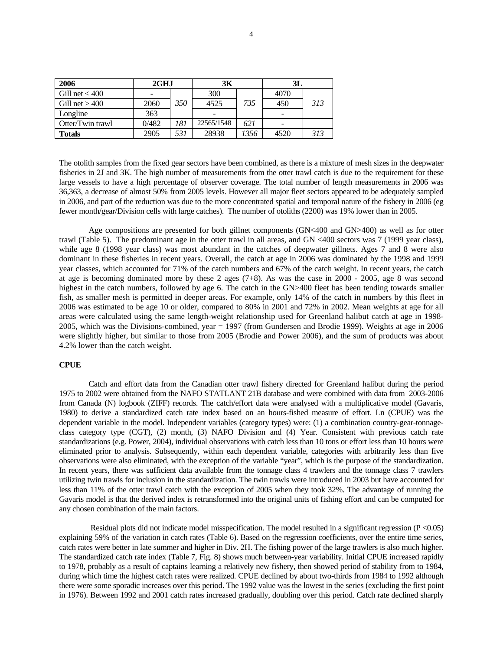| 2006             | 2GHJ  |     | 3К         |      | 3L   |     |  |
|------------------|-------|-----|------------|------|------|-----|--|
| Gill net $<$ 400 | ۰     |     | 300        |      | 4070 |     |  |
| Gill net $>400$  | 2060  | 350 | 4525       | 735  | 450  | 313 |  |
| Longline         | 363   |     |            |      |      |     |  |
| Otter/Twin trawl | 0/482 | 181 | 22565/1548 | 621  |      |     |  |
| Totals           | 2905  | 531 | 28938      | 1356 | 4520 | 313 |  |

The otolith samples from the fixed gear sectors have been combined, as there is a mixture of mesh sizes in the deepwater fisheries in 2J and 3K. The high number of measurements from the otter trawl catch is due to the requirement for these large vessels to have a high percentage of observer coverage. The total number of length measurements in 2006 was 36,363, a decrease of almost 50% from 2005 levels. However all major fleet sectors appeared to be adequately sampled in 2006, and part of the reduction was due to the more concentrated spatial and temporal nature of the fishery in 2006 (eg fewer month/gear/Division cells with large catches). The number of otoliths (2200) was 19% lower than in 2005.

Age compositions are presented for both gillnet components (GN<400 and GN>400) as well as for otter trawl (Table 5). The predominant age in the otter trawl in all areas, and GN <400 sectors was 7 (1999 year class), while age 8 (1998 year class) was most abundant in the catches of deepwater gillnets. Ages 7 and 8 were also dominant in these fisheries in recent years. Overall, the catch at age in 2006 was dominated by the 1998 and 1999 year classes, which accounted for 71% of the catch numbers and 67% of the catch weight. In recent years, the catch at age is becoming dominated more by these 2 ages (7+8). As was the case in 2000 - 2005, age 8 was second highest in the catch numbers, followed by age 6. The catch in the GN>400 fleet has been tending towards smaller fish, as smaller mesh is permitted in deeper areas. For example, only 14% of the catch in numbers by this fleet in 2006 was estimated to be age 10 or older, compared to 80% in 2001 and 72% in 2002. Mean weights at age for all areas were calculated using the same length-weight relationship used for Greenland halibut catch at age in 1998- 2005, which was the Divisions-combined, year = 1997 (from Gundersen and Brodie 1999). Weights at age in 2006 were slightly higher, but similar to those from 2005 (Brodie and Power 2006), and the sum of products was about 4.2% lower than the catch weight.

#### **CPUE**

 Catch and effort data from the Canadian otter trawl fishery directed for Greenland halibut during the period 1975 to 2002 were obtained from the NAFO STATLANT 21B database and were combined with data from 2003-2006 from Canada (N) logbook (ZIFF) records. The catch/effort data were analysed with a multiplicative model (Gavaris, 1980) to derive a standardized catch rate index based on an hours-fished measure of effort. Ln (CPUE) was the dependent variable in the model. Independent variables (category types) were: (1) a combination country-gear-tonnageclass category type (CGT), (2) month, (3) NAFO Division and (4) Year. Consistent with previous catch rate standardizations (e.g. Power, 2004), individual observations with catch less than 10 tons or effort less than 10 hours were eliminated prior to analysis. Subsequently, within each dependent variable, categories with arbitrarily less than five observations were also eliminated, with the exception of the variable "year", which is the purpose of the standardization. In recent years, there was sufficient data available from the tonnage class 4 trawlers and the tonnage class 7 trawlers utilizing twin trawls for inclusion in the standardization. The twin trawls were introduced in 2003 but have accounted for less than 11% of the otter trawl catch with the exception of 2005 when they took 32%. The advantage of running the Gavaris model is that the derived index is retransformed into the original units of fishing effort and can be computed for any chosen combination of the main factors.

 Residual plots did not indicate model misspecification. The model resulted in a significant regression (P <0.05) explaining 59% of the variation in catch rates (Table 6). Based on the regression coefficients, over the entire time series, catch rates were better in late summer and higher in Div. 2H. The fishing power of the large trawlers is also much higher. The standardized catch rate index (Table 7, Fig. 8) shows much between-year variability. Initial CPUE increased rapidly to 1978, probably as a result of captains learning a relatively new fishery, then showed period of stability from to 1984, during which time the highest catch rates were realized. CPUE declined by about two-thirds from 1984 to 1992 although there were some sporadic increases over this period. The 1992 value was the lowest in the series (excluding the first point in 1976). Between 1992 and 2001 catch rates increased gradually, doubling over this period. Catch rate declined sharply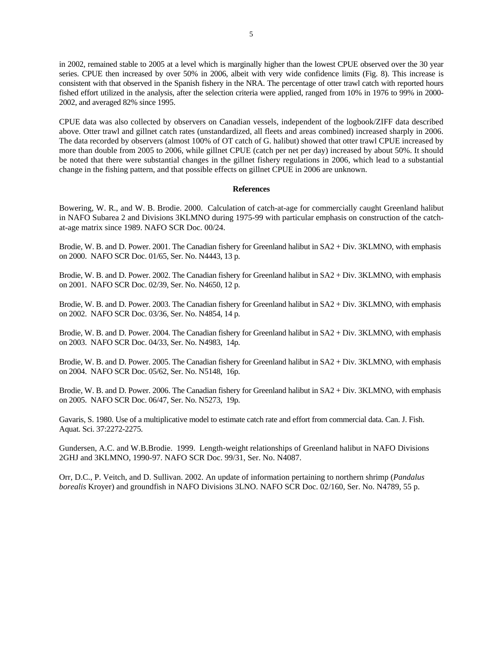in 2002, remained stable to 2005 at a level which is marginally higher than the lowest CPUE observed over the 30 year series. CPUE then increased by over 50% in 2006, albeit with very wide confidence limits (Fig. 8). This increase is consistent with that observed in the Spanish fishery in the NRA. The percentage of otter trawl catch with reported hours fished effort utilized in the analysis, after the selection criteria were applied, ranged from 10% in 1976 to 99% in 2000- 2002, and averaged 82% since 1995.

CPUE data was also collected by observers on Canadian vessels, independent of the logbook/ZIFF data described above. Otter trawl and gillnet catch rates (unstandardized, all fleets and areas combined) increased sharply in 2006. The data recorded by observers (almost 100% of OT catch of G. halibut) showed that otter trawl CPUE increased by more than double from 2005 to 2006, while gillnet CPUE (catch per net per day) increased by about 50%. It should be noted that there were substantial changes in the gillnet fishery regulations in 2006, which lead to a substantial change in the fishing pattern, and that possible effects on gillnet CPUE in 2006 are unknown.

#### **References**

Bowering, W. R., and W. B. Brodie. 2000. Calculation of catch-at-age for commercially caught Greenland halibut in NAFO Subarea 2 and Divisions 3KLMNO during 1975-99 with particular emphasis on construction of the catchat-age matrix since 1989. NAFO SCR Doc. 00/24.

Brodie, W. B. and D. Power. 2001. The Canadian fishery for Greenland halibut in SA2 + Div. 3KLMNO, with emphasis on 2000. NAFO SCR Doc. 01/65, Ser. No. N4443, 13 p.

Brodie, W. B. and D. Power. 2002. The Canadian fishery for Greenland halibut in SA2 + Div. 3KLMNO, with emphasis on 2001. NAFO SCR Doc. 02/39, Ser. No. N4650, 12 p.

Brodie, W. B. and D. Power. 2003. The Canadian fishery for Greenland halibut in SA2 + Div. 3KLMNO, with emphasis on 2002. NAFO SCR Doc. 03/36, Ser. No. N4854, 14 p.

Brodie, W. B. and D. Power. 2004. The Canadian fishery for Greenland halibut in SA2 + Div. 3KLMNO, with emphasis on 2003. NAFO SCR Doc. 04/33, Ser. No. N4983, 14p.

Brodie, W. B. and D. Power. 2005. The Canadian fishery for Greenland halibut in SA2 + Div. 3KLMNO, with emphasis on 2004. NAFO SCR Doc. 05/62, Ser. No. N5148, 16p.

Brodie, W. B. and D. Power. 2006. The Canadian fishery for Greenland halibut in SA2 + Div. 3KLMNO, with emphasis on 2005. NAFO SCR Doc. 06/47, Ser. No. N5273, 19p.

Gavaris, S. 1980. Use of a multiplicative model to estimate catch rate and effort from commercial data. Can. J. Fish. Aquat. Sci. 37:2272-2275.

Gundersen, A.C. and W.B.Brodie. 1999. Length-weight relationships of Greenland halibut in NAFO Divisions 2GHJ and 3KLMNO, 1990-97. NAFO SCR Doc. 99/31, Ser. No. N4087.

Orr, D.C., P. Veitch, and D. Sullivan. 2002. An update of information pertaining to northern shrimp (*Pandalus borealis* Kroyer) and groundfish in NAFO Divisions 3LNO. NAFO SCR Doc. 02/160, Ser. No. N4789, 55 p.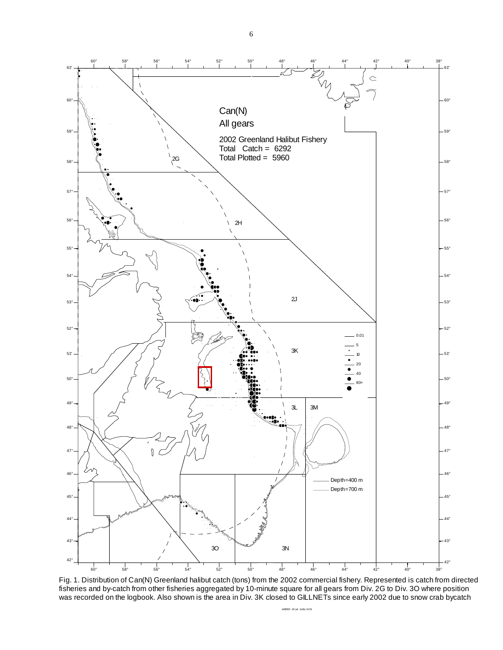

Fig. 1. Distribution of Can(N) Greenland halibut catch (tons) from the 2002 commercial fishery. Represented is catch from directed fisheries and by-catch from other fisheries aggregated by 10-minute square for all gears from Div. 2G to Div. 3O where position was recorded on the logbook. Also shown is the area in Div. 3K closed to GILLNETs since early 2002 due to snow crab bycatch

g<br>2002 af cat 2020 ACN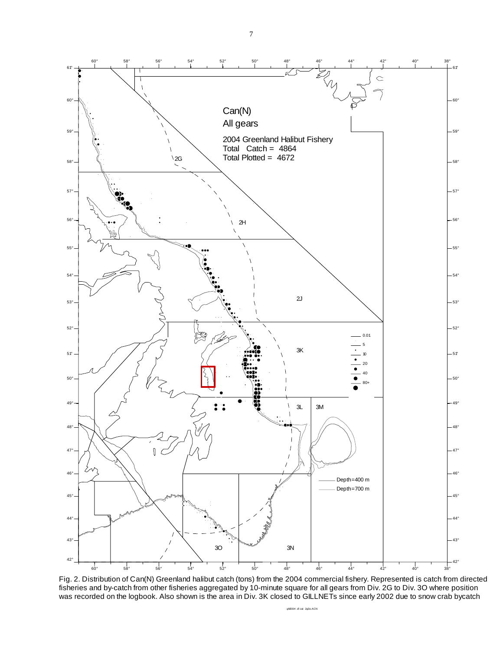60° 58° 56° 54° 52° 50° 48° 46° 44° 42° 40° 38°

7



Fig. 2. Distribution of Can(N) Greenland halibut catch (tons) from the 2004 commercial fishery. Represented is catch from directed fisheries and by-catch from other fisheries aggregated by 10-minute square for all gears from Div. 2G to Div. 3O where position was recorded on the logbook. Also shown is the area in Div. 3K closed to GILLNETs since early 2002 due to snow crab bycatch

ghl2004 zif cat 2g3o.ACN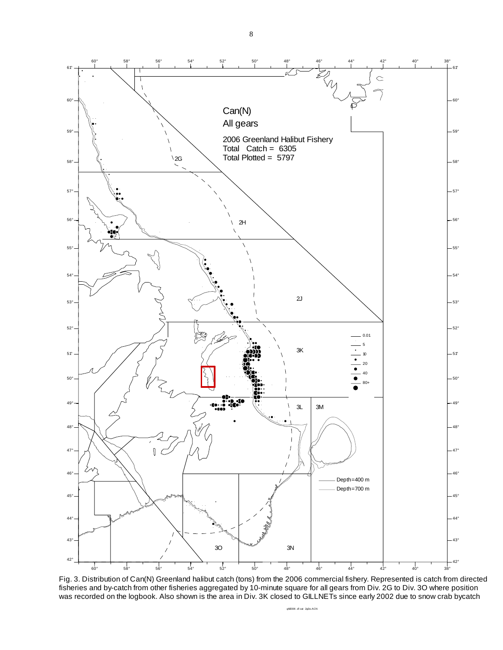8



Fig. 3. Distribution of Can(N) Greenland halibut catch (tons) from the 2006 commercial fishery. Represented is catch from directed fisheries and by-catch from other fisheries aggregated by 10-minute square for all gears from Div. 2G to Div. 3O where position was recorded on the logbook. Also shown is the area in Div. 3K closed to GILLNETs since early 2002 due to snow crab bycatch

ghl2006 zif cat 2g3o.ACN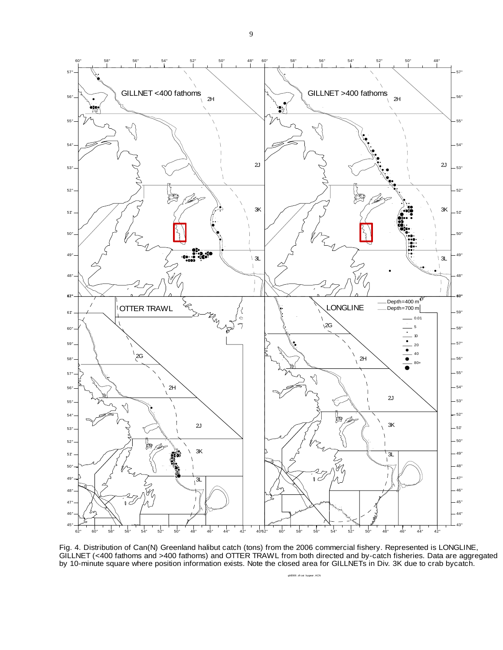



Fig. 4. Distribution of Can(N) Greenland halibut catch (tons) from the 2006 commercial fishery. Represented is LONGLINE, GILLNET (<400 fathoms and >400 fathoms) and OTTER TRAWL from both directed and by-catch fisheries. Data are aggregated by 10-minute square where position information exists. Note the closed area for GILLNETs in Div. 3K due to crab bycatch.

ghl2006 zif cat bygear .ACN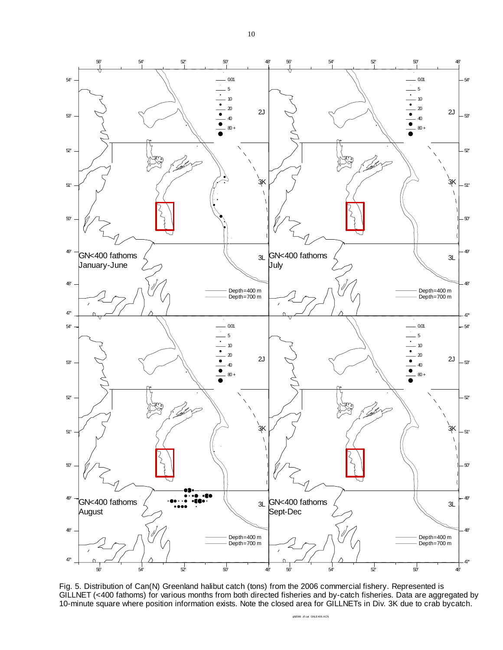

Fig. 5. Distribution of Can(N) Greenland halibut catch (tons) from the 2006 commercial fishery. Represented is GILLNET (<400 fathoms) for various months from both directed fisheries and by-catch fisheries. Data are aggregated by 10-minute square where position information exists. Note the closed area for GILLNETs in Div. 3K due to crab bycatch.

ghl2006 zif cat GNLE400.ACN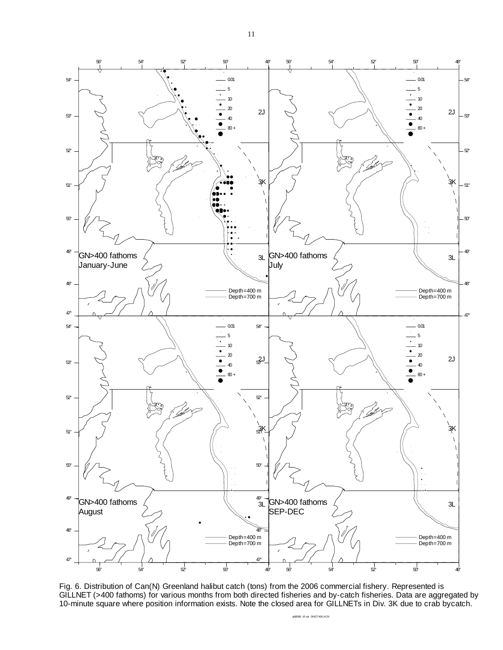

Fig. 6. Distribution of Can(N) Greenland halibut catch (tons) from the 2006 commercial fishery. Represented is GILLNET (>400 fathoms) for various months from both directed fisheries and by-catch fisheries. Data are aggregated by 10-minute square where position information exists. Note the closed area for GILLNETs in Div. 3K due to crab bycatch.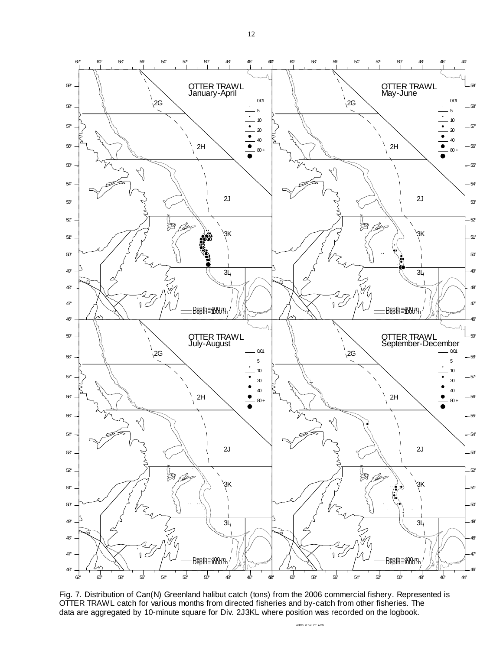

Fig. 7. Distribution of Can(N) Greenland halibut catch (tons) from the 2006 commercial fishery. Represented is OTTER TRAWL catch for various months from directed fisheries and by-catch from other fisheries. The data are aggregated by 10-minute square for Div. 2J3KL where position was recorded on the logbook.

ghl200 zif cat OT.ACN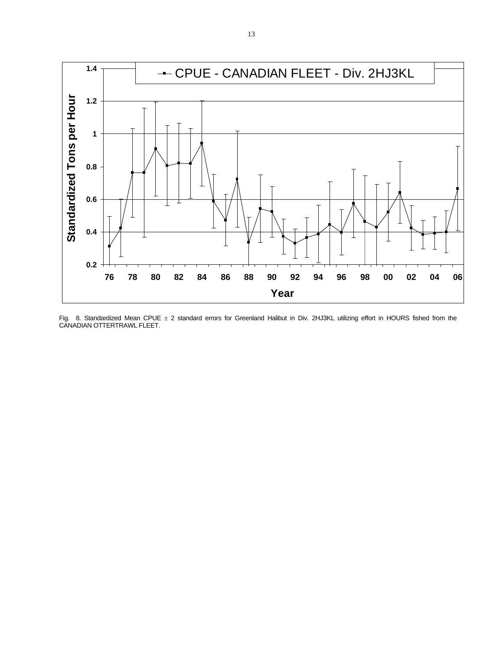

Fig. 8. Standardized Mean CPUE  $\pm$  2 standard errors for Greenland Halibut in Div. 2HJ3KL utilizing effort in HOURS fished from the CANADIAN OTTERTRAWL FLEET.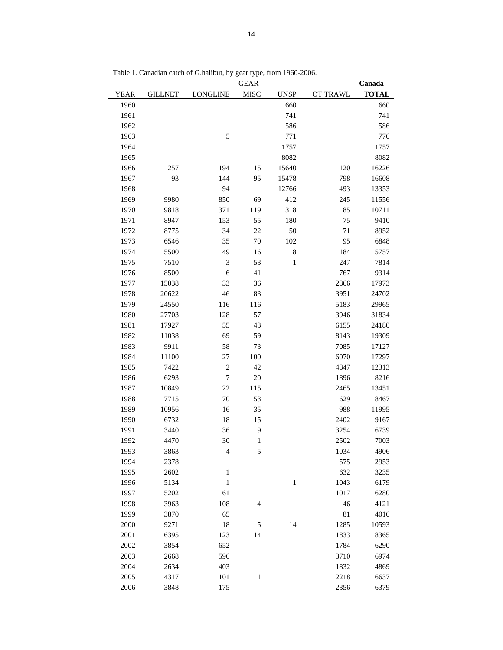|             |                |                 | <b>GEAR</b>    |              |          | Canada       |
|-------------|----------------|-----------------|----------------|--------------|----------|--------------|
| <b>YEAR</b> | <b>GILLNET</b> | <b>LONGLINE</b> | <b>MISC</b>    | <b>UNSP</b>  | OT TRAWL | <b>TOTAL</b> |
| 1960        |                |                 |                | 660          |          | 660          |
| 1961        |                |                 |                | 741          |          | 741          |
| 1962        |                |                 |                | 586          |          | 586          |
| 1963        |                | $\mathfrak s$   |                | 771          |          | 776          |
| 1964        |                |                 |                | 1757         |          | 1757         |
| 1965        |                |                 |                | 8082         |          | 8082         |
| 1966        | 257            | 194             | 15             | 15640        | 120      | 16226        |
| 1967        | 93             | 144             | 95             | 15478        | 798      | 16608        |
| 1968        |                | 94              |                | 12766        | 493      | 13353        |
| 1969        | 9980           | 850             | 69             | 412          | 245      | 11556        |
| 1970        | 9818           | 371             | 119            | 318          | 85       | 10711        |
| 1971        | 8947           | 153             | 55             | 180          | 75       | 9410         |
| 1972        | 8775           | 34              | 22             | 50           | 71       | 8952         |
| 1973        | 6546           | 35              | 70             | 102          | 95       | 6848         |
| 1974        | 5500           | 49              | 16             | $\,8\,$      | 184      | 5757         |
| 1975        | 7510           | 3               | 53             | $\mathbf{1}$ | 247      | 7814         |
| 1976        | 8500           | 6               | 41             |              | 767      | 9314         |
| 1977        | 15038          | 33              | 36             |              | 2866     | 17973        |
| 1978        | 20622          | 46              | 83             |              | 3951     | 24702        |
| 1979        | 24550          | 116             | 116            |              | 5183     | 29965        |
| 1980        | 27703          | 128             | 57             |              | 3946     | 31834        |
| 1981        | 17927          | 55              | 43             |              | 6155     | 24180        |
| 1982        | 11038          | 69              | 59             |              | 8143     | 19309        |
| 1983        | 9911           | 58              | 73             |              | 7085     | 17127        |
| 1984        | 11100          | 27              | 100            |              | 6070     | 17297        |
| 1985        | 7422           | $\sqrt{2}$      | 42             |              | 4847     | 12313        |
| 1986        | 6293           | $\tau$          | 20             |              | 1896     | 8216         |
| 1987        | 10849          | 22              | 115            |              | 2465     | 13451        |
| 1988        | 7715           | 70              | 53             |              | 629      | 8467         |
| 1989        | 10956          | 16              | 35             |              | 988      | 11995        |
| 1990        | 6732           | 18              | 15             |              | 2402     | 9167         |
| 1991        | 3440           | 36              | 9              |              | 3254     | 6739         |
| 1992        | 4470           | 30              | 1              |              | 2502     | 7003         |
| 1993        | 3863           | $\overline{4}$  | 5              |              | 1034     | 4906         |
| 1994        | 2378           |                 |                |              | 575      | 2953         |
| 1995        | 2602           | $\,1\,$         |                |              | 632      | 3235         |
| 1996        | 5134           | $\,1\,$         |                | $\,1$        | 1043     | 6179         |
| 1997        | 5202           | 61              |                |              | 1017     | 6280         |
| 1998        | 3963           | 108             | $\overline{4}$ |              | 46       | 4121         |
| 1999        | 3870           | 65              |                |              | 81       | 4016         |
| 2000        | 9271           | 18              | $\sqrt{5}$     | 14           | 1285     | 10593        |
| 2001        | 6395           | 123             | 14             |              | 1833     | 8365         |
| 2002        | 3854           | 652             |                |              | 1784     | 6290         |
| 2003        | 2668           | 596             |                |              | 3710     | 6974         |
| 2004        | 2634           | 403             |                |              | 1832     | 4869         |
| 2005        | 4317           | 101             | $\,1$          |              | 2218     | 6637         |
| 2006        | 3848           | 175             |                |              | 2356     | 6379         |
|             |                |                 |                |              |          |              |

Table 1. Canadian catch of G.halibut, by gear type, from 1960-2006.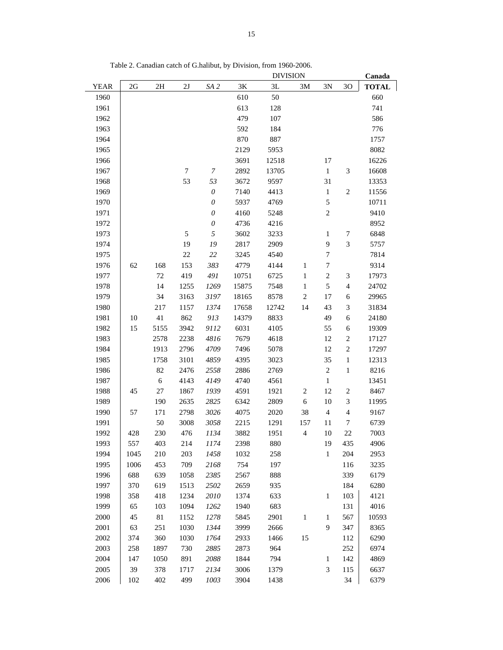|             |      |            |                  |                           |       | <b>DIVISION</b> |                |                             |                |              |
|-------------|------|------------|------------------|---------------------------|-------|-----------------|----------------|-----------------------------|----------------|--------------|
| <b>YEAR</b> | 2G   | 2H         | 2J               | SA <sub>2</sub>           | $3K$  | 3L              | 3M             | 3N                          | 30             | <b>TOTAL</b> |
| 1960        |      |            |                  |                           | 610   | 50              |                |                             |                | 660          |
| 1961        |      |            |                  |                           | 613   | 128             |                |                             |                | 741          |
| 1962        |      |            |                  |                           | 479   | 107             |                |                             |                | 586          |
| 1963        |      |            |                  |                           | 592   | 184             |                |                             |                | 776          |
| 1964        |      |            |                  |                           | 870   | 887             |                |                             |                | 1757         |
| 1965        |      |            |                  |                           | 2129  | 5953            |                |                             |                | 8082         |
| 1966        |      |            |                  |                           | 3691  | 12518           |                | 17                          |                | 16226        |
| 1967        |      |            | $\boldsymbol{7}$ | 7                         | 2892  | 13705           |                | $\mathbf{1}$                | 3              | 16608        |
| 1968        |      |            | 53               | 53                        | 3672  | 9597            |                | 31                          |                | 13353        |
| 1969        |      |            |                  | $\boldsymbol{\mathit{0}}$ | 7140  | 4413            |                | $\mathbf{1}$                | $\overline{c}$ | 11556        |
| 1970        |      |            |                  | $\boldsymbol{\mathit{0}}$ | 5937  | 4769            |                | 5                           |                | 10711        |
| 1971        |      |            |                  | $\boldsymbol{\mathit{0}}$ | 4160  | 5248            |                | $\mathbf{2}$                |                | 9410         |
| 1972        |      |            |                  | $\boldsymbol{\mathit{0}}$ | 4736  | 4216            |                |                             |                | 8952         |
| 1973        |      |            | 5                | $\sqrt{2}$                | 3602  | 3233            |                | $\mathbf{1}$                | 7              | 6848         |
| 1974        |      |            | 19               | 19                        | 2817  | 2909            |                | 9                           | 3              | 5757         |
| 1975        |      |            | $22\,$           | 22                        | 3245  | 4540            |                | $\tau$                      |                | 7814         |
| 1976        | 62   | 168        | 153              | 383                       | 4779  | 4144            | $\mathbf{1}$   | 7                           |                | 9314         |
| 1977        |      | $72\,$     | 419              | 491                       | 10751 | 6725            | $\mathbf{1}$   | $\overline{2}$              | 3              | 17973        |
| 1978        |      | 14         | 1255             | 1269                      | 15875 | 7548            | $\mathbf{1}$   | 5                           | $\overline{4}$ | 24702        |
| 1979        |      | 34         | 3163             | 3197                      | 18165 | 8578            | $\sqrt{2}$     | 17                          | 6              | 29965        |
| 1980        |      | 217        | 1157             | 1374                      | 17658 | 12742           | 14             | 43                          | $\mathfrak{Z}$ | 31834        |
| 1981        | 10   | 41         | 862              | 913                       | 14379 | 8833            |                | 49                          | 6              | 24180        |
| 1982        | 15   | 5155       | 3942             | 9112                      | 6031  | 4105            |                | 55                          | 6              | 19309        |
| 1983        |      | 2578       | 2238             | 4816                      | 7679  | 4618            |                | 12                          | $\sqrt{2}$     | 17127        |
| 1984        |      | 1913       | 2796             | 4709                      | 7496  | 5078            |                | 12                          | $\sqrt{2}$     | 17297        |
| 1985        |      | 1758       | 3101             | 4859                      | 4395  | 3023            |                | 35                          | 1              | 12313        |
| 1986        |      | 82         | 2476             | 2558                      | 2886  | 2769            |                | $\sqrt{2}$                  | 1              | 8216         |
| 1987        |      | $\sqrt{6}$ | 4143             | 4149                      | 4740  | 4561            |                | $\mathbf{1}$                |                | 13451        |
| 1988        | 45   | $27\,$     | 1867             | 1939                      | 4591  | 1921            | $\sqrt{2}$     | 12                          | $\sqrt{2}$     | 8467         |
| 1989        |      | 190        | 2635             | 2825                      | 6342  | 2809            | $\sqrt{6}$     | 10                          | $\mathfrak{Z}$ | 11995        |
| 1990        | 57   | 171        | 2798             | 3026                      | 4075  | 2020            | 38             | $\overline{4}$              | $\overline{4}$ | 9167         |
| 1991        |      | 50         | 3008             | 3058                      | 2215  | 1291            | 157            | 11                          | 7              | 6739         |
| 1992        | 428  | 230        | 476              | 1134                      | 3882  | 1951            | $\overline{4}$ | 10                          | 22             | 7003         |
| 1993        | 557  | 403        | 214              | 1174                      | 2398  | 880             |                | 19                          | 435            | 4906         |
| 1994        | 1045 | 210        | 203              | 1458                      | 1032  | 258             |                | $\,1$                       | 204            | 2953         |
| 1995        | 1006 | 453        | 709              | 2168                      | 754   | 197             |                |                             | 116            | 3235         |
| 1996        | 688  | 639        | 1058             | 2385                      | 2567  | 888             |                |                             | 339            | 6179         |
| 1997        | 370  | 619        | 1513             | 2502                      | 2659  | 935             |                |                             | 184            | 6280         |
| 1998        | 358  | 418        | 1234             | 2010                      | 1374  | 633             |                | $\mathbf{1}$                | 103            | 4121         |
| 1999        | 65   | 103        | 1094             | 1262                      | 1940  | 683             |                |                             | 131            | 4016         |
| 2000        | 45   | $81\,$     | 1152             | 1278                      | 5845  | 2901            | $\,1\,$        | $\mathbf{1}$                | 567            | 10593        |
| 2001        | 63   | 251        | 1030             | 1344                      | 3999  | 2666            |                | 9                           | 347            | 8365         |
| 2002        | 374  | 360        | 1030             | 1764                      | 2933  | 1466            | 15             |                             | 112            | 6290         |
| 2003        | 258  | 1897       | 730              | 2885                      | 2873  | 964             |                |                             | 252            | 6974         |
| 2004        | 147  | 1050       | 891              | 2088                      | 1844  | 794             |                | $\mathbf{1}$                | 142            | 4869         |
| 2005        | 39   | 378        | 1717             | 2134                      | 3006  | 1379            |                | $\ensuremath{\mathfrak{Z}}$ | 115            | 6637         |
| 2006        | 102  | 402        | 499              | 1003                      | 3904  | 1438            |                |                             | 34             | 6379         |

Table 2. Canadian catch of G.halibut, by Division, from 1960-2006.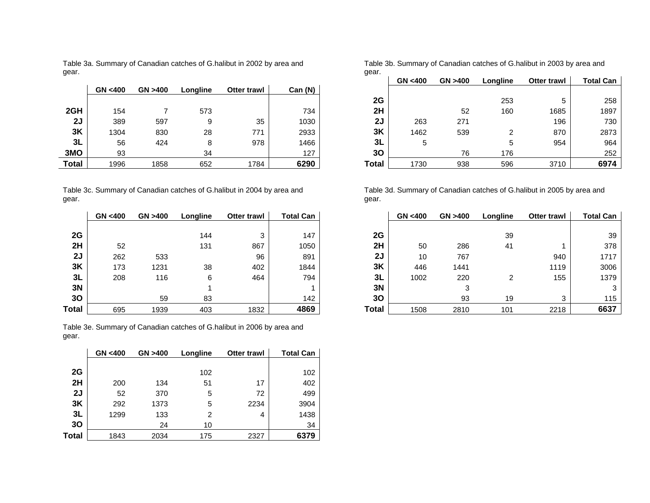|       | GN < 400 | GN > 400 | Longline | <b>Otter trawl</b> | Can (N) |
|-------|----------|----------|----------|--------------------|---------|
|       |          |          |          |                    |         |
| 2GH   | 154      |          | 573      |                    | 734     |
| 2J    | 389      | 597      | 9        | 35                 | 1030    |
| 3K    | 1304     | 830      | 28       | 771                | 2933    |
| 3L    | 56       | 424      | 8        | 978                | 1466    |
| 3MO   | 93       |          | 34       |                    | 127     |
| Total | 1996     | 1858     | 652      | 1784               | 6290    |

Table 3a. Summary of Canadian catches of G.halibut in 2002 by area and gear.

Table 3c. Summary of Canadian catches of G.halibut in 2004 by area and gear.

|       | GN < 400 | GN > 400 | Longline | <b>Otter trawl</b> | <b>Total Can</b> |
|-------|----------|----------|----------|--------------------|------------------|
|       |          |          |          |                    |                  |
| 2G    |          |          | 144      | 3                  | 147              |
| 2H    | 52       |          | 131      | 867                | 1050             |
| 2J    | 262      | 533      |          | 96                 | 891              |
| 3K    | 173      | 1231     | 38       | 402                | 1844             |
| 3L    | 208      | 116      | 6        | 464                | 794              |
| 3N    |          |          | 1        |                    |                  |
| 30    |          | 59       | 83       |                    | 142              |
| Total | 695      | 1939     | 403      | 1832               | 4869             |

Table 3e. Summary of Canadian catches of G.halibut in 2006 by area and gear.

|       | GN < 400 | GN > 400 | Longline | <b>Otter trawl</b> | <b>Total Can</b> |
|-------|----------|----------|----------|--------------------|------------------|
|       |          |          |          |                    |                  |
| 2G    |          |          | 102      |                    | 102              |
| 2H    | 200      | 134      | 51       | 17                 | 402              |
| 2J    | 52       | 370      | 5        | 72                 | 499              |
| 3K    | 292      | 1373     | 5        | 2234               | 3904             |
| 3L    | 1299     | 133      | 2        | 4                  | 1438             |
| 30    |          | 24       | 10       |                    | 34               |
| Total | 1843     | 2034     | 175      | 2327               | 6379             |

Table 3b. Summary of Canadian catches of G.halibut in 2003 by area and gear.

|              |         |         |          |             |         | $\tilde{}$   |          |         |          |             |                  |
|--------------|---------|---------|----------|-------------|---------|--------------|----------|---------|----------|-------------|------------------|
|              |         |         |          |             |         |              | GN < 400 | GN >400 | Longline | Otter trawl | <b>Total Can</b> |
|              | GN <400 | GN >400 | Longline | Otter trawl | Can (N) |              |          |         |          |             |                  |
|              |         |         |          |             |         | 2G           |          |         | 253      | 5           | 258              |
| 2GH          | 154     |         | 573      |             | 734     | 2H           |          | 52      | 160      | 1685        | 1897             |
| 2J           | 389     | 597     |          | 35          | 1030    | 2J           | 263      | 271     |          | 196         | 730              |
| 3K           | 1304    | 830     | 28       | 771         | 2933    | 3K           | 1462     | 539     |          | 870         | 2873             |
| 3L           | 56      | 424     |          | 978         | 1466    | 3L           | 5        |         |          | 954         | 964              |
| ЗМО          | 93      |         | 34       |             | 127     | 30           |          | 76      | 176      |             | 252              |
| <b>Total</b> | 1996    | 1858    | 652      | 1784        | 6290    | <b>Total</b> | 1730     | 938     | 596      | 3710        | 6974             |
|              |         |         |          |             |         |              |          |         |          |             |                  |

Table 3d. Summary of Canadian catches of G.halibut in 2005 by area and gear.

|     | GN < 400 | GN >400 | Longline | Otter trawl | <b>Total Can</b> |              | GN < 400 | GN > 400 | Longline | Otter trawl | <b>Total Can</b> |
|-----|----------|---------|----------|-------------|------------------|--------------|----------|----------|----------|-------------|------------------|
|     |          |         |          |             |                  |              |          |          |          |             |                  |
| 2G  |          |         | 144      |             | 147              | 2G           |          |          | 39       |             | 39               |
| 2H  | 52       |         | 131      | 867         | 1050             | 2H           | 50       | 286      | 41       |             | 378              |
| 2J  | 262      | 533     |          | 96          | 891              | 2J           | 10       | 767      |          | 940         | 1717             |
| 3K  | 173      | 1231    | 38       | 402         | 1844             | 3K           | 446      | 1441     |          | 1119        | 3006             |
| 3L  | 208      | 116     | 6        | 464         | 794              | 3L           | 1002     | 220      | າ        | 155         | 1379             |
| 3N  |          |         |          |             |                  | 3N           |          |          |          |             |                  |
| 30  |          | 59      | 83       |             | 142              | 30           |          | 93       | 19       | ົ           | 115              |
| tal | 695      | 1939    | 403      | 1832        | 4869             | <b>Total</b> | 1508     | 2810     | 101      | 2218        | 6637             |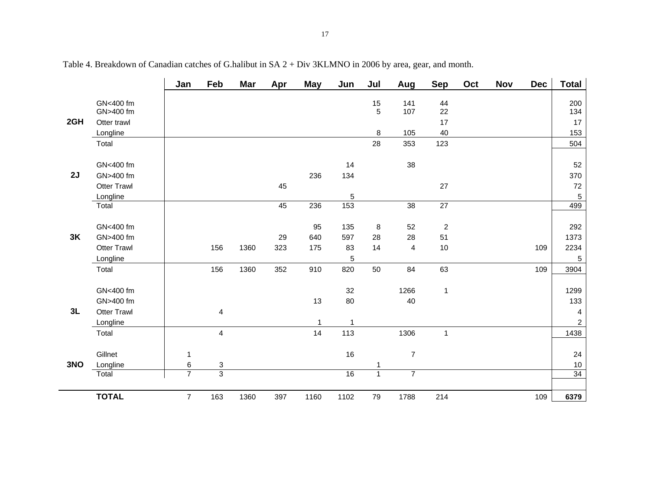|     |                                                                   | Jan                      | Feb                          | <b>Mar</b>   | Apr              | <b>May</b>              | Jun                             | Jul                       | Aug                              | <b>Sep</b>                       | Oct | <b>Nov</b> | <b>Dec</b> | <b>Total</b>                               |
|-----|-------------------------------------------------------------------|--------------------------|------------------------------|--------------|------------------|-------------------------|---------------------------------|---------------------------|----------------------------------|----------------------------------|-----|------------|------------|--------------------------------------------|
| 2GH | GN<400 fm<br>GN>400 fm<br>Otter trawl<br>Longline                 |                          |                              |              |                  |                         |                                 | 15<br>$\overline{5}$<br>8 | 141<br>107<br>105                | 44<br>22<br>17<br>40             |     |            |            | 200<br>134<br>17<br>153                    |
|     | Total                                                             |                          |                              |              |                  |                         |                                 | 28                        | 353                              | 123                              |     |            |            | 504                                        |
| 2J  | GN<400 fm<br>GN>400 fm<br><b>Otter Trawl</b><br>Longline<br>Total |                          |                              |              | 45<br>45         | 236<br>236              | 14<br>134<br>5<br>153           |                           | 38<br>38                         | 27<br>$\overline{27}$            |     |            |            | 52<br>370<br>72<br>$\sqrt{5}$<br>499       |
| 3K  | GN<400 fm<br>GN>400 fm<br><b>Otter Trawl</b><br>Longline<br>Total |                          | 156<br>156                   | 1360<br>1360 | 29<br>323<br>352 | 95<br>640<br>175<br>910 | 135<br>597<br>83<br>5<br>820    | $\, 8$<br>28<br>14<br>50  | 52<br>28<br>4<br>84              | $\overline{c}$<br>51<br>10<br>63 |     |            | 109<br>109 | 292<br>1373<br>2234<br>$\,$ 5 $\,$<br>3904 |
| 3L  | GN<400 fm<br>GN>400 fm<br><b>Otter Trawl</b><br>Longline<br>Total |                          | 4<br>$\overline{\mathbf{4}}$ |              |                  | 13<br>14                | 32<br>80<br>$\mathbf{1}$<br>113 |                           | 1266<br>40<br>1306               | $\mathbf{1}$<br>$\mathbf{1}$     |     |            |            | 1299<br>133<br>4<br>$\overline{a}$<br>1438 |
| 3NO | Gillnet<br>Longline<br>Total                                      | 1<br>6<br>$\overline{7}$ | 3<br>$\overline{3}$          |              |                  |                         | 16<br>16                        | $\overline{1}$            | $\overline{7}$<br>$\overline{7}$ |                                  |     |            |            | 24<br>10<br>34                             |
|     | <b>TOTAL</b>                                                      | $\overline{7}$           | 163                          | 1360         | 397              | 1160                    | 1102                            | 79                        | 1788                             | 214                              |     |            | 109        | 6379                                       |

Table 4. Breakdown of Canadian catches of G.halibut in SA 2 + Div 3KLMNO in 2006 by area, gear, and month.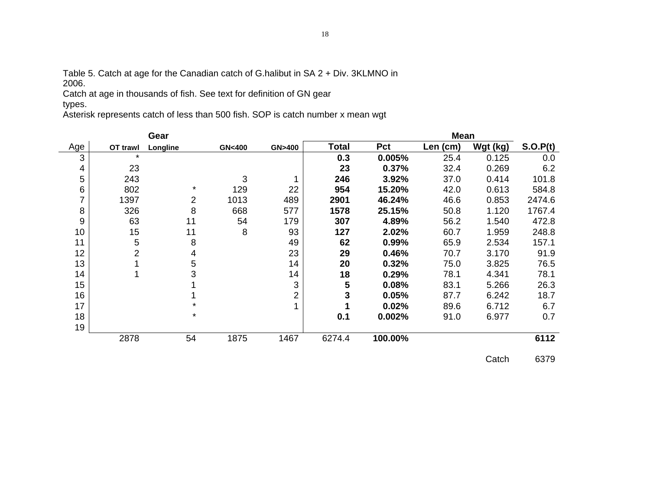Table 5. Catch at age for the Canadian catch of G.halibut in SA 2 + Div. 3KLMNO in 2006.

Catch at age in thousands of fish. See text for definition of GN gear types.

Asterisk represents catch of less than 500 fish. SOP is catch number x mean wgt

|     |          | Gear     |                  |        |              |         | <b>Mean</b> |          |          |
|-----|----------|----------|------------------|--------|--------------|---------|-------------|----------|----------|
| Age | OT trawl | Longline | <b>GN&lt;400</b> | GN>400 | <b>Total</b> | Pct     | Len (cm)    | Wgt (kg) | S.O.P(t) |
| 3   | $\star$  |          |                  |        | 0.3          | 0.005%  | 25.4        | 0.125    | 0.0      |
| 4   | 23       |          |                  |        | 23           | 0.37%   | 32.4        | 0.269    | 6.2      |
| 5   | 243      |          | 3                |        | 246          | 3.92%   | 37.0        | 0.414    | 101.8    |
| 6   | 802      | $\star$  | 129              | 22     | 954          | 15.20%  | 42.0        | 0.613    | 584.8    |
| 7   | 1397     | 2        | 1013             | 489    | 2901         | 46.24%  | 46.6        | 0.853    | 2474.6   |
| 8   | 326      | 8        | 668              | 577    | 1578         | 25.15%  | 50.8        | 1.120    | 1767.4   |
| 9   | 63       | 11       | 54               | 179    | 307          | 4.89%   | 56.2        | 1.540    | 472.8    |
| 10  | 15       | 11       | 8                | 93     | 127          | 2.02%   | 60.7        | 1.959    | 248.8    |
| 11  | 5        | 8        |                  | 49     | 62           | 0.99%   | 65.9        | 2.534    | 157.1    |
| 12  | 2        | 4        |                  | 23     | 29           | 0.46%   | 70.7        | 3.170    | 91.9     |
| 13  |          | 5        |                  | 14     | 20           | 0.32%   | 75.0        | 3.825    | 76.5     |
| 14  |          | 3        |                  | 14     | 18           | 0.29%   | 78.1        | 4.341    | 78.1     |
| 15  |          |          |                  | 3      | 5            | 0.08%   | 83.1        | 5.266    | 26.3     |
| 16  |          |          |                  | 2      | 3            | 0.05%   | 87.7        | 6.242    | 18.7     |
| 17  |          | $\star$  |                  |        |              | 0.02%   | 89.6        | 6.712    | 6.7      |
| 18  |          | $\star$  |                  |        | 0.1          | 0.002%  | 91.0        | 6.977    | 0.7      |
| 19  |          |          |                  |        |              |         |             |          |          |
|     | 2878     | 54       | 1875             | 1467   | 6274.4       | 100.00% |             |          | 6112     |

Catch 6379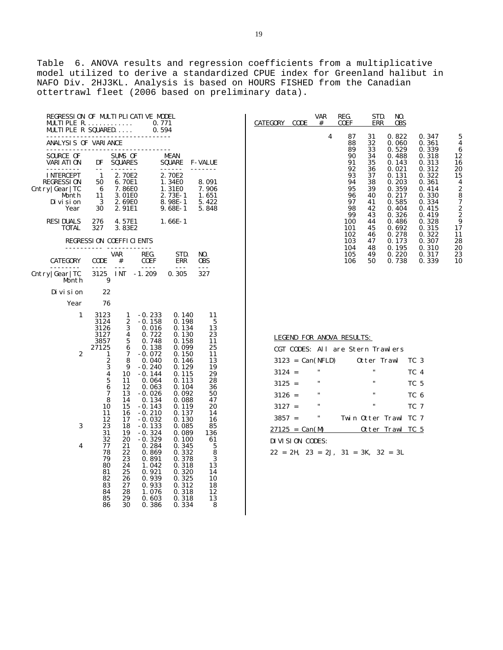Table 6. ANOVA results and regression coefficients from a multiplicative model utilized to derive a standardized CPUE index for Greenland halibut in NAFO Div. 2HJ3KL. Analysis is based on HOURS FISHED from the Canadian ottertrawl fleet (2006 based on preliminary data).

| REGRESSION OF MULTIPLICATIVE MODEL<br>$MULTI~PLE~R.$<br>MULTIPLE R SQUARED       |                                                                                                                                |                                                                                                  | 0.771<br>0.594                                                                                                                                                       |                                                                                                                                              |                                                                                             |
|----------------------------------------------------------------------------------|--------------------------------------------------------------------------------------------------------------------------------|--------------------------------------------------------------------------------------------------|----------------------------------------------------------------------------------------------------------------------------------------------------------------------|----------------------------------------------------------------------------------------------------------------------------------------------|---------------------------------------------------------------------------------------------|
| ANALYSIS OF VARIANCE                                                             | -----------                                                                                                                    |                                                                                                  |                                                                                                                                                                      |                                                                                                                                              |                                                                                             |
| SOURCE OF<br>VARI ATI ON<br>-------                                              | DF<br>$- -$                                                                                                                    | SUMS OF<br><b>SQUARES</b><br>-------                                                             |                                                                                                                                                                      | MEAN<br>SQUARE<br>------                                                                                                                     | <b>F-VALUE</b><br>------                                                                    |
| I NTERCEPT<br><b>REGRESSION</b><br>Cntry Gear TC<br>Month<br>Di vi si on<br>Year | $\mathbf{1}$<br>50<br>- 6<br>11<br>$\overline{\mathbf{3}}$<br>30                                                               | 2.70E2<br>6.70E1<br>7.86E0<br>3.01E0<br>2.69E0<br>2.91E1                                         |                                                                                                                                                                      | 2.70E2<br>1.34E0<br>1.31E0<br>$2.73E-1$<br>$8.98E-1$<br>$9.68E-1$                                                                            | 8.091<br>7.906<br>1.651<br>5.422<br>5.848                                                   |
| <b>RESIDUALS</b><br>TOTAL                                                        | 276<br>327                                                                                                                     | 4.57E1<br>3.83E2                                                                                 |                                                                                                                                                                      | $1.66E-1$                                                                                                                                    |                                                                                             |
|                                                                                  |                                                                                                                                | REGRESSION COEFFICIENTS                                                                          |                                                                                                                                                                      |                                                                                                                                              |                                                                                             |
| CATEGORY                                                                         | CODE<br>$-- - -$                                                                                                               | VAR<br>#<br>$- - -$                                                                              | REG.<br>COEF<br>$- - - -$                                                                                                                                            | STD.<br>ERR<br>$---$                                                                                                                         | NO.<br>0BS                                                                                  |
| Cntry Gear TC<br>Month                                                           | 3125<br>9                                                                                                                      | I NT                                                                                             | $-1.209$                                                                                                                                                             | 0.305                                                                                                                                        | 327                                                                                         |
| Di vi si on                                                                      | 22                                                                                                                             |                                                                                                  |                                                                                                                                                                      |                                                                                                                                              |                                                                                             |
| Year                                                                             | 76                                                                                                                             |                                                                                                  |                                                                                                                                                                      |                                                                                                                                              |                                                                                             |
| 1<br>2                                                                           | 3123<br>3124<br>3126<br>3127<br>3857<br>27125<br>1<br>$\frac{2}{3}$<br>$\overline{\mathbf{4}}$<br>5<br>6<br>7<br>8<br>10<br>11 | 1<br>2<br>3<br>$\overline{4}$<br>5<br>6<br>7<br>8<br>9<br>10<br>11<br>12<br>13<br>14<br>15<br>16 | $-0.233$<br>$-0.158$<br>0.016<br>0.722<br>0.748<br>0.138<br>$-0.072$<br>0.040<br>$-0.240$<br>$-0.144$<br>0.064<br>0.063<br>$-0.026$<br>0.134<br>$-0.143$<br>$-0.210$ | 0.140<br>0.198<br>0.134<br>0.130<br>0.158<br>0.099<br>0.150<br>0.146<br>0.129<br>0.115<br>0.113<br>0.104<br>0.092<br>0.088<br>0.119<br>0.137 | 11<br>5<br>13<br>23<br>11<br>25<br>11<br>13<br>19<br>29<br>28<br>36<br>50<br>47<br>20<br>14 |
| 3<br>4                                                                           | 12<br>23<br>31<br>32<br>77<br>78<br>79<br>80<br>81<br>82<br>83<br>84<br>85<br>86                                               | 17<br>18<br>19<br>20<br>21<br>22<br>23<br>24<br>25<br>26<br>27<br>28<br>29<br>30                 | $-0.032$<br>$-0.133$<br>$-0.324$<br>$-0.329$<br>0.284<br>0.869<br>0.891<br>1.042<br>0.921<br>0.939<br>0.933<br>1.076<br>0.603<br>0.386                               | 0.130<br>0.085<br>0.089<br>0.100<br>0.345<br>0.332<br>0.378<br>0.318<br>0.320<br>0.325<br>0.312<br>0.318<br>0.318<br>0.334                   | 16<br>85<br>136<br>61<br>5<br>8<br>3<br>13<br>14<br>10<br>18<br>12<br>13<br>8               |

| CATEGORY | CODE | var<br># | REG.<br>COEF                                                                                                                | STD.<br>err                                                                                                          | NO.<br>0BS                                                                                                                                                                       |                                                                                                                                                                                  |                                                                                                                          |
|----------|------|----------|-----------------------------------------------------------------------------------------------------------------------------|----------------------------------------------------------------------------------------------------------------------|----------------------------------------------------------------------------------------------------------------------------------------------------------------------------------|----------------------------------------------------------------------------------------------------------------------------------------------------------------------------------|--------------------------------------------------------------------------------------------------------------------------|
|          |      | 4        | 87<br>88<br>89<br>90<br>91<br>92<br>93<br>94<br>95<br>96<br>97<br>98<br>99<br>100<br>101<br>102<br>103<br>104<br>105<br>106 | 31<br>32<br>33<br>34<br>35<br>36<br>37<br>38<br>39<br>40<br>41<br>42<br>43<br>44<br>45<br>46<br>47<br>48<br>49<br>50 | 0.822<br>0.060<br>0.529<br>0.488<br>0.143<br>0.021<br>0.131<br>0.203<br>0.359<br>0.217<br>0.585<br>0.404<br>0.326<br>0.486<br>0.692<br>0.278<br>0.173<br>0.195<br>0.220<br>0.738 | 0.347<br>0.361<br>0.339<br>0.318<br>0.313<br>0.312<br>0.322<br>0.361<br>0.414<br>0.330<br>0.334<br>0.415<br>0.419<br>0.328<br>0.315<br>0.322<br>0.307<br>0.310<br>0.317<br>0.339 | 5<br>4<br>6<br>12<br>16<br>20<br>15<br>4<br>$\frac{2}{8}$<br>7<br>2<br>$\frac{2}{9}$<br>17<br>11<br>28<br>20<br>23<br>10 |
|          |      |          |                                                                                                                             |                                                                                                                      |                                                                                                                                                                                  |                                                                                                                                                                                  |                                                                                                                          |

| LEGEND FOR ANOVA RESULTS:  |                                               |
|----------------------------|-----------------------------------------------|
|                            | CGT CODES: ALL are Stern Trawlers             |
|                            | TC 3<br>$3123 = Can(NFLD)$ Otter Trawl        |
| $\blacksquare$<br>$3124 =$ | <br>TC 4                                      |
| <br>$3125 =$               | <br>TC 5                                      |
| $\cdots$<br>$3126 =$       | $\mathbf{u}$<br>TC 6                          |
| $\cdots$<br>$3127 =$       | $\mathbf{u}$<br>TC 7                          |
| <br>$3857 =$               | Twin Otter Trawl TC 7                         |
| $27125 = Can(M)$           | Otter Trawl TC 5                              |
| DIVISION CODES:            |                                               |
|                            | $22 = 2H$ , $23 = 2J$ , $31 = 3K$ , $32 = 3L$ |